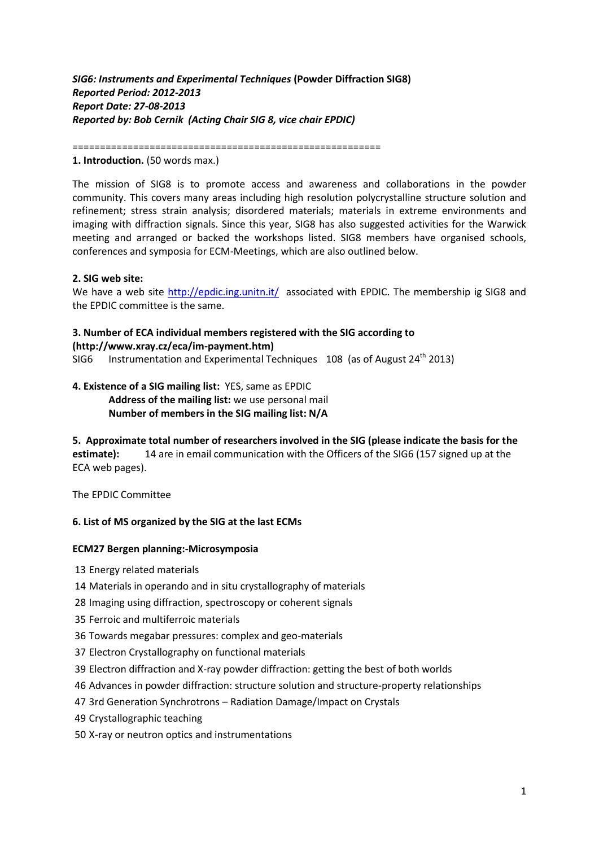## *SIG6: Instruments and Experimental Techniques* **(Powder Diffraction SIG8)** *Reported Period: 2012-2013 Report Date: 27-08-2013 Reported by: Bob Cernik (Acting Chair SIG 8, vice chair EPDIC)*

========================================================

#### **1. Introduction.** (50 words max.)

The mission of SIG8 is to promote access and awareness and collaborations in the powder community. This covers many areas including high resolution polycrystalline structure solution and refinement; stress strain analysis; disordered materials; materials in extreme environments and imaging with diffraction signals. Since this year, SIG8 has also suggested activities for the Warwick meeting and arranged or backed the workshops listed. SIG8 members have organised schools, conferences and symposia for ECM-Meetings, which are also outlined below.

#### **2. SIG web site:**

We have a web site<http://epdic.ing.unitn.it/>associated with EPDIC. The membership ig SIG8 and the EPDIC committee is the same.

### **3. Number of ECA individual members registered with the SIG according to [\(http://www.xray.cz/eca/im-payment.htm\)](http://www.xray.cz/eca/im-payment.htm)**

SIG6 Instrumentation and Experimental Techniques  $108$  (as of August 24<sup>th</sup> 2013)

### **4. Existence of a SIG mailing list:** YES, same as EPDIC **Address of the mailing list:** we use personal mail **Number of members in the SIG mailing list: N/A**

**5. Approximate total number of researchers involved in the SIG (please indicate the basis for the** 

**estimate):** 14 are in email communication with the Officers of the SIG6 (157 signed up at the ECA web pages).

The EPDIC Committee

### **6. List of MS organized by the SIG at the last ECMs**

### **ECM27 Bergen planning:-Microsymposia**

- 13 Energy related materials
- 14 Materials in operando and in situ crystallography of materials
- 28 Imaging using diffraction, spectroscopy or coherent signals
- 35 Ferroic and multiferroic materials
- 36 Towards megabar pressures: complex and geo-materials
- 37 Electron Crystallography on functional materials
- 39 Electron diffraction and X-ray powder diffraction: getting the best of both worlds
- 46 Advances in powder diffraction: structure solution and structure-property relationships
- 47 3rd Generation Synchrotrons Radiation Damage/Impact on Crystals
- 49 Crystallographic teaching
- 50 X-ray or neutron optics and instrumentations